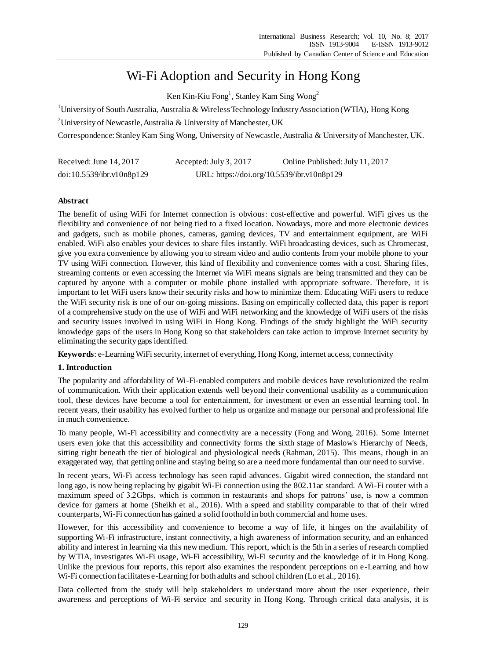# Wi-Fi Adoption and Security in Hong Kong

Ken Kin-Kiu Fong<sup>1</sup>, Stanley Kam Sing Wong<sup>2</sup>

<sup>1</sup> University of South Australia, Australia & Wireless Technology Industry Association (WTIA), Hong Kong

<sup>2</sup>University of Newcastle, Australia & University of Manchester, UK

Correspondence:Stanley Kam Sing Wong, University of Newcastle, Australia & University of Manchester, UK.

| Received: June $14, 2017$ | Accepted: July 3, 2017 | Online Published: July 11, 2017            |
|---------------------------|------------------------|--------------------------------------------|
| doi:10.5539/ibr.v10n8p129 |                        | URL: https://doi.org/10.5539/ibr.v10n8p129 |

# **Abstract**

The benefit of using WiFi for Internet connection is obvious: cost-effective and powerful. WiFi gives us the flexibility and convenience of not being tied to a fixed location. Nowadays, more and more electronic devices and gadgets, such as mobile phones, cameras, gaming devices, TV and entertainment equipment, are WiFi enabled. WiFi also enables your devices to share files instantly. WiFi broadcasting devices, such as Chromecast, give you extra convenience by allowing you to stream video and audio contents from your mobile phone to your TV using WiFi connection. However, this kind of flexibility and convenience comes with a cost. Sharing files, streaming contents or even accessing the Internet via WiFi means signals are being transmitted and they can be captured by anyone with a computer or mobile phone installed with appropriate software. Therefore, it is important to let WiFi users know their security risks and how to minimize them. Educating WiFi users to reduce the WiFi security risk is one of our on-going missions. Basing on empirically collected data, this paper is report of a comprehensive study on the use of WiFi and WiFi networking and the knowledge of WiFi users of the risks and security issues involved in using WiFi in Hong Kong. Findings of the study highlight the WiFi security knowledge gaps of the users in Hong Kong so that stakeholders can take action to improve Internet security by eliminating the security gaps identified.

**Keywords**: e-Learning WiFi security, internet of everything, Hong Kong, internet access, connectivity

# **1. Introduction**

The popularity and affordability of Wi-Fi-enabled computers and mobile devices have revolutionized the realm of communication. With their application extends well beyond their conventional usability as a communication tool, these devices have become a tool for entertainment, for investment or even an essential learning tool. In recent years, their usability has evolved further to help us organize and manage our personal and professional life in much convenience.

To many people, Wi-Fi accessibility and connectivity are a necessity (Fong and Wong, 2016). Some Internet users even joke that this accessibility and connectivity forms the sixth stage of Maslow's Hierarchy of Needs, sitting right beneath the tier of biological and physiological needs (Rahman, 2015). This means, though in an exaggerated way, that getting online and staying being so are a needmore fundamental than our need to survive.

In recent years, Wi-Fi access technology has seen rapid advances. Gigabit wired connection, the standard not long ago, is now being replacing by gigabit Wi-Fi connection using the 802.11 $\alpha$  standard. A Wi-Fi router with a maximum speed of 3.2Gbps, which is common in restaurants and shops for patrons' use, is now a common device for gamers at home (Sheikh et al., 2016). With a speed and stability comparable to that of their wired counterparts, Wi-Fi connection has gained a solid foothold in both commercial and home uses.

However, for this accessibility and convenience to become a way of life, it hinges on the availability of supporting Wi-Fi infrastructure, instant connectivity, a high awareness of information security, and an enhanced ability and interest in learning via this new medium. This report, which is the 5th in a series of research complied by WTIA, investigates Wi-Fi usage, Wi-Fi accessibility, Wi-Fi security and the knowledge of it in Hong Kong. Unlike the previous four reports, this report also examines the respondent perceptions on e-Learning and how Wi-Fi connection facilitates e-Learning for both adults and school children (Lo et al., 2016).

Data collected from the study will help stakeholders to understand more about the user experience, their awareness and perceptions of Wi-Fi service and security in Hong Kong. Through critical data analysis, it is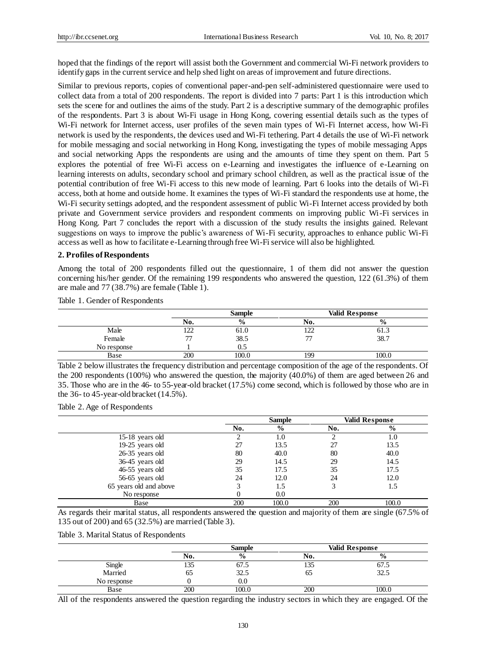hoped that the findings of the report will assist both the Government and commercial Wi-Fi network providers to identify gaps in the current service and help shed light on areas of improvement and future directions.

Similar to previous reports, copies of conventional paper-and-pen self-administered questionnaire were used to collect data from a total of 200 respondents. The report is divided into 7 parts: Part 1 is this introduction which sets the scene for and outlines the aims of the study. Part 2 is a descriptive summary of the demographic profiles of the respondents. Part 3 is about Wi-Fi usage in Hong Kong, covering essential details such as the types of Wi-Fi network for Internet access, user profiles of the seven main types of Wi-Fi Internet access, how Wi-Fi network is used by the respondents, the devices used and Wi-Fi tethering. Part 4 details the use of Wi-Fi network for mobile messaging and social networking in Hong Kong, investigating the types of mobile messaging Apps and social networking Apps the respondents are using and the amounts of time they spent on them. Part 5 explores the potential of free Wi-Fi access on e-Learning and investigates the influence of e-Learning on learning interests on adults, secondary school and primary school children, as well as the practical issue of the potential contribution of free Wi-Fi access to this new mode of learning. Part 6 looks into the details of Wi-Fi access, both at home and outside home. It examines the types of Wi-Fi standard the respondents use at home, the Wi-Fi security settings adopted, and the respondent assessment of public Wi-Fi Internet access provided by both private and Government service providers and respondent comments on improving public Wi-Fi services in Hong Kong. Part 7 concludes the report with a discussion of the study results the insights gained. Relevant suggestions on ways to improve the public's awareness of Wi-Fi security, approaches to enhance public Wi-Fi access as well as how to facilitate e-Learning through free Wi-Fi service will also be highlighted.

#### **2. Profiles of Respondents**

Among the total of 200 respondents filled out the questionnaire, 1 of them did not answer the question concerning his/her gender. Of the remaining 199 respondents who answered the question, 122 (61.3%) of them are male and 77 (38.7%) are female (Table 1).

Table 1. Gender of Respondents

|             |                          | <b>Sample</b> |               | <b>Valid Response</b> |
|-------------|--------------------------|---------------|---------------|-----------------------|
|             | NO.                      | $\frac{0}{0}$ | <b>NO.</b>    | $\frac{0}{0}$         |
| Male        | $\sim$<br>┸┷┷            | 61.0          | $\sim$<br>1/2 | 61.3                  |
| Female      | $\overline{\phantom{a}}$ | 38.5          |               | 38.7                  |
| No response |                          |               |               |                       |
| Base        | 200                      | 100.0         | 199           | 100.0                 |

Table 2 below illustrates the frequency distribution and percentage composition of the age of the respondents. Of the 200 respondents (100%) who answered the question, the majority (40.0%) of them are aged between 26 and 35. Those who are in the 46- to 55-year-old bracket (17.5%) come second, which is followed by those who are in the 36- to 45-year-old bracket (14.5%).

Table 2. Age of Respondents

|                        |     | <b>Sample</b> |     | Valid Response |  |
|------------------------|-----|---------------|-----|----------------|--|
|                        | No. | $\frac{6}{9}$ | No. | $\frac{6}{9}$  |  |
| $15-18$ years old      |     | 1.0           |     | 1.0            |  |
| 19-25 years old        | 27  | 13.5          | 27  | 13.5           |  |
| $26-35$ years old      | 80  | 40.0          | 80  | 40.0           |  |
| 36-45 years old        | 29  | 14.5          | 29  | 14.5           |  |
| 46-55 years old        | 35  | 17.5          | 35  | 17.5           |  |
| 56-65 years old        | 24  | 12.0          | 24  | 12.0           |  |
| 65 years old and above |     | 1.5           |     | 1.5            |  |
| No response            |     | 0.0           |     |                |  |
| Base                   | 200 | 100.0         | 200 | 100.0          |  |

As regards their marital status, all respondents answered the question and majority of them are single (67.5% of 135 out of 200) and 65 (32.5%) are married (Table 3).

Table 3. Marital Status of Respondents

|             |                 | Sample        |                 | <b>Valid Response</b> |
|-------------|-----------------|---------------|-----------------|-----------------------|
|             | No.             | $\frac{0}{0}$ | N0.             | $\mathbf{0}$<br>70    |
| Single      | $\Omega$<br>133 | 67.J          | $\Omega$<br>LOJ | 07.J                  |
| Married     | כס              | 30<br>ر…ے     | O               | $\sim$<br>ن ن ک       |
| No response |                 | $\rm 0.0$     |                 |                       |
| Base        | 200             | 100.0         | 200             | 00.                   |

All of the respondents answered the question regarding the industry sectors in which they are engaged. Of the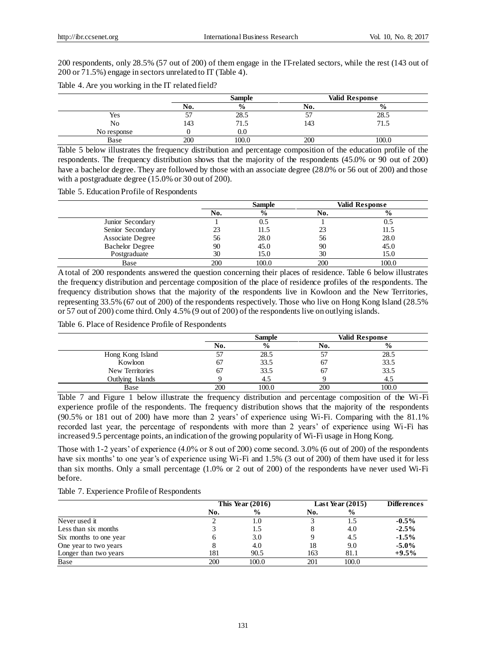200 respondents, only 28.5% (57 out of 200) of them engage in the IT-related sectors, while the rest (143 out of 200 or 71.5%) engage in sectors unrelated to IT (Table 4).

|  | Table 4. Are you working in the IT related field? |
|--|---------------------------------------------------|
|  |                                                   |

|             |          | <b>Sample</b> |           | <b>Valid Response</b> |
|-------------|----------|---------------|-----------|-----------------------|
|             | No.      | $\frac{0}{0}$ | No.       | $\frac{0}{0}$         |
| Yes         | --<br>J. | 28.5          | $-1$<br>◡ | າວ<br>$\angle 0.5$    |
| No          | 143      | 71.5          | 143       | 71.5                  |
| No response |          | O.C           |           |                       |
| Base        | 200      | 100.0         | 200       | $\Omega$<br>⊥∪∪.∪     |

Table 5 below illustrates the frequency distribution and percentage composition of the education profile of the respondents. The frequency distribution shows that the majority of the respondents (45.0% or 90 out of 200) have a bachelor degree. They are followed by those with an associate degree (28.0% or 56 out of 200) and those with a postgraduate degree (15.0% or 30 out of 200).

Table 5. Education Profile of Respondents

|                        | <b>Sample</b> |               |     | Valid Response |
|------------------------|---------------|---------------|-----|----------------|
|                        | No.           | $\frac{0}{0}$ | No. | $\frac{6}{9}$  |
| Junior Secondary       |               |               |     | 0.5            |
| Senior Secondary       | 23            | 11.5          |     | 11.5           |
| Associate Degree       | 56            | 28.0          | 56  | 28.0           |
| <b>Bachelor Degree</b> | 90            | 45.0          | 90  | 45.0           |
| Postgraduate           | 30            | 15.0          | 30  | 15.0           |
| Base                   | 200           | 100.0         | 200 | 100.0          |

A total of 200 respondents answered the question concerning their places of residence. Table 6 below illustrates the frequency distribution and percentage composition of the place of residence profiles of the respondents. The frequency distribution shows that the majority of the respondents live in Kowloon and the New Territories, representing 33.5% (67 out of 200) of the respondents respectively. Those who live on Hong Kong Island (28.5% or 57 out of 200) come third. Only 4.5% (9 out of 200) of the respondents live on outlying islands.

Table 6. Place of Residence Profile of Respondents

|                  |     | <b>Sample</b> |     | <b>Valid Response</b> |
|------------------|-----|---------------|-----|-----------------------|
|                  | No. | $\frac{6}{9}$ | NO. | $\frac{0}{0}$         |
| Hong Kong Island | 57  | 28.5          |     | 28.5                  |
| Kowloon          | 67  | 33.5          | 67  | 33.5                  |
| New Territories  | 67  | 33.5          | 67  | 33.5                  |
| Outlying Islands |     |               |     |                       |
| Base             | 200 | 100.0         | 200 | 100.0                 |

Table 7 and Figure 1 below illustrate the frequency distribution and percentage composition of the Wi-Fi experience profile of the respondents. The frequency distribution shows that the majority of the respondents (90.5% or 181 out of 200) have more than 2 years' of experience using Wi-Fi. Comparing with the 81.1% recorded last year, the percentage of respondents with more than 2 years' of experience using Wi-Fi has increased 9.5 percentage points, an indication of the growing popularity of Wi-Fi usage in Hong Kong.

Those with 1-2 years' of experience (4.0% or 8 out of 200) come second. 3.0% (6 out of 200) of the respondents have six months' to one year's of experience using Wi-Fi and 1.5% (3 out of 200) of them have used it for less than six months. Only a small percentage (1.0% or 2 out of 200) of the respondents have never used Wi-Fi before.

|  | Table 7. Experience Profile of Respondents |  |
|--|--------------------------------------------|--|
|--|--------------------------------------------|--|

|                        | This Year $(2016)$ |               | Last Year $(2015)$ |               | <b>Differences</b> |  |
|------------------------|--------------------|---------------|--------------------|---------------|--------------------|--|
|                        | No.                | $\frac{0}{0}$ | No.                | $\frac{6}{9}$ |                    |  |
| Never used it          |                    | 1.0           |                    | 1.5           | $-0.5\%$           |  |
| Less than six months   |                    | 1.5           |                    | 4.0           | $-2.5\%$           |  |
| Six months to one year |                    | 3.0           |                    | 4.5           | $-1.5\%$           |  |
| One year to two years  |                    | 4.0           | 18                 | 9.0           | $-5.0\%$           |  |
| Longer than two years  | 181                | 90.5          | 163                | 81.1          | $+9.5%$            |  |
| Base                   | 200                | 100.0         | 201                | 100.0         |                    |  |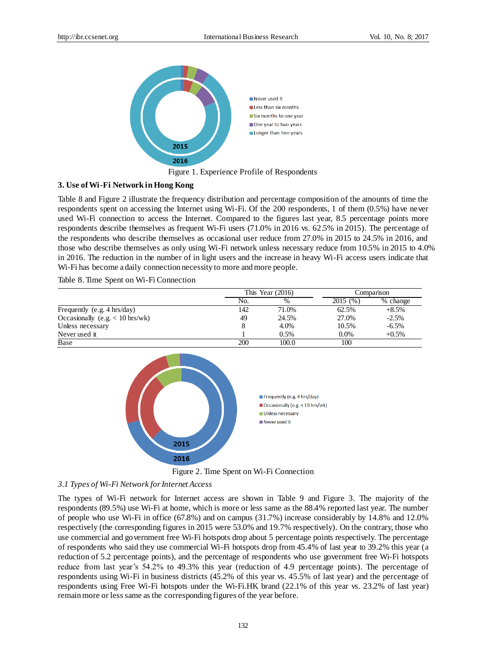

Figure 1. Experience Profile of Respondents

## **3. Use of Wi-Fi Network in Hong Kong**

Table 8 and Figure 2 illustrate the frequency distribution and percentage composition of the amounts of time the respondents spent on accessing the Internet using Wi-Fi. Of the 200 respondents, 1 of them (0.5%) have never used Wi-Fi connection to access the Internet. Compared to the figures last year, 8.5 percentage points more respondents describe themselves as frequent Wi-Fi users (71.0% in 2016 vs. 62.5% in 2015). The percentage of the respondents who describe themselves as occasional user reduce from 27.0% in 2015 to 24.5% in 2016, and those who describe themselves as only using Wi-Fi network unless necessary reduce from 10.5% in 2015 to 4.0% in 2016. The reduction in the number of in light users and the increase in heavy Wi-Fi access users indicate that Wi-Fi has become a daily connection necessity to more and more people.

Table 8. Time Spent on Wi-Fi Connection

|                                        |     | This Year $(2016)$ |         | Comparison |
|----------------------------------------|-----|--------------------|---------|------------|
|                                        | No. | %                  | 2015(%) | % change   |
| Frequently (e.g. $4 \text{ hrs/day}$ ) | 142 | 71.0%              | 62.5%   | $+8.5%$    |
| Occasionally (e.g. $< 10$ hrs/wk)      | 49  | 24.5%              | 27.0%   | $-2.5%$    |
| Unless necessary                       | 8   | 4.0%               | 10.5%   | $-6.5\%$   |
| Never used it                          |     | 0.5%               | $0.0\%$ | $+0.5%$    |
| Base                                   | 200 | 100.0              | 100     |            |



Figure 2. Time Spent on Wi-Fi Connection

## *3.1 Types of Wi-Fi Network for Internet Access*

The types of Wi-Fi network for Internet access are shown in Table 9 and Figure 3. The majority of the respondents (89.5%) use Wi-Fi at home, which is more or less same as the 88.4% reported last year. The number of people who use Wi-Fi in office (67.8%) and on campus (31.7%) increase considerably by 14.8% and 12.0% respectively (the corresponding figures in 2015 were 53.0% and 19.7% respectively). On the contrary, those who use commercial and government free Wi-Fi hotspots drop about 5 percentage points respectively. The percentage of respondents who said they use commercial Wi-Fi hotspots drop from 45.4% of last year to 39.2% this year (a reduction of 5.2 percentage points), and the percentage of respondents who use government free Wi-Fi hotspots reduce from last year's 54.2% to 49.3% this year (reduction of 4.9 percentage points). The percentage of respondents using Wi-Fi in business districts (45.2% of this year vs. 45.5% of last year) and the percentage of respondents using Free Wi-Fi hotspots under the Wi-Fi.HK brand (22.1% of this year vs. 23.2% of last year) remain more or less same as the corresponding figures of the year before.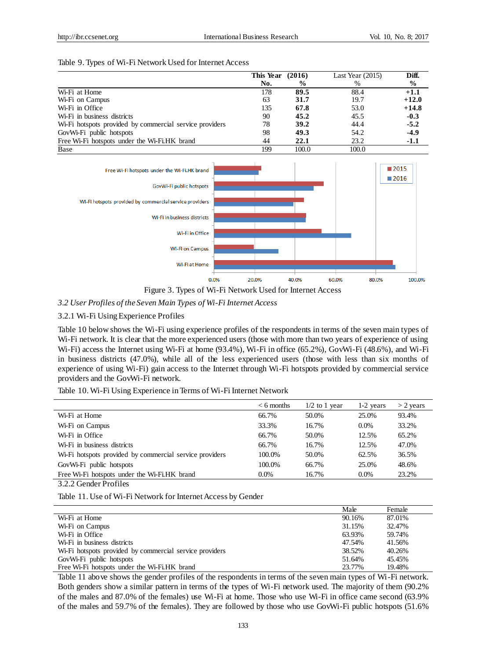#### Table 9. Types of Wi-Fi Network Used for Internet Access

|                                                                      | This Year | (2016)        | Last Year $(2015)$ | Diff.   |
|----------------------------------------------------------------------|-----------|---------------|--------------------|---------|
|                                                                      | No.       | $\frac{6}{9}$ | %                  | $\%$    |
| Wi-Fi at Home                                                        | 178       | 89.5          | 88.4               | $+1.1$  |
| Wi-Fi on Campus                                                      | 63        | 31.7          | 19.7               | $+12.0$ |
| W <sub>i</sub> -F <sub>i</sub> in Office                             | 135       | 67.8          | 53.0               | $+14.8$ |
| W <sub>i</sub> -F <sub>i</sub> in business districts                 | 90        | 45.2          | 45.5               | $-0.3$  |
| W <sub>1</sub> -Fi hotspots provided by commercial service providers | 78        | 39.2          | 44.4               | $-5.2$  |
| GovWi-Fi public hotspots                                             | 98        | 49.3          | 54.2               | $-4.9$  |
| Free Wi-Fi hotspots under the Wi-Fi.HK brand                         | 44        | 22.1          | 23.2               | $-1.1$  |
| Base                                                                 | 199       | 100.0         | 100.0              |         |



Figure 3. Types of Wi-Fi Network Used for Internet Access

## *3.2 User Profiles of the Seven Main Types of Wi-Fi Internet Access*

## 3.2.1 Wi-Fi Using Experience Profiles

Table 10 below shows the Wi-Fi using experience profiles of the respondents in terms of the seven main types of Wi-Fi network. It is clear that the more experienced users (those with more than two years of experience of using Wi-Fi) access the Internet using Wi-Fi at home (93.4%), Wi-Fi in office (65.2%), GovWi-Fi (48.6%), and Wi-Fi in business districts (47.0%), while all of the less experienced users (those with less than six months of experience of using Wi-Fi) gain access to the Internet through Wi-Fi hotspots provided by commercial service providers and the GovWi-Fi network.

Table 10. Wi-Fi Using Experience in Terms of Wi-Fi Internet Network

| $< 6$ months | $1/2$ to 1 year | 1-2 years | $>$ 2 years |
|--------------|-----------------|-----------|-------------|
| 66.7%        | 50.0%           | 25.0%     | 93.4%       |
| 33.3%        | 16.7%           | $0.0\%$   | 33.2%       |
| 66.7%        | 50.0%           | 12.5%     | 65.2%       |
| 66.7%        | 16.7%           | 12.5%     | 47.0%       |
| 100.0%       | 50.0%           | 62.5%     | 36.5%       |
| 100.0%       | 66.7%           | 25.0%     | 48.6%       |
| $0.0\%$      | 16.7%           | $0.0\%$   | 23.2%       |
|              |                 |           |             |

3.2.2 Gender Profiles

Table 11. Use of Wi-Fi Network for Internet Access by Gender

|                                                         | Male   | Female |
|---------------------------------------------------------|--------|--------|
| Wi-Fi at Home                                           | 90.16% | 87.01% |
| Wi-Fi on Campus                                         | 31.15% | 32.47% |
| W <sub>i</sub> -Fi in Office                            | 63.93% | 59.74% |
| W <sub>i</sub> -F <sub>i</sub> in business districts    | 47.54% | 41.56% |
| Wi-Fi hotspots provided by commercial service providers | 38.52% | 40.26% |
| GovWi-Fi public hotspots                                | 51.64% | 45.45% |
| Free Wi-Fi hotspots under the Wi-Fi.HK brand            | 23.77% | 19.48% |

Table 11 above shows the gender profiles of the respondents in terms of the seven main types of Wi-Fi network. Both genders show a similar pattern in terms of the types of Wi-Fi network used. The majority of them (90.2% of the males and 87.0% of the females) use Wi-Fi at home. Those who use Wi-Fi in office came second (63.9% of the males and 59.7% of the females). They are followed by those who use GovWi-Fi public hotspots (51.6%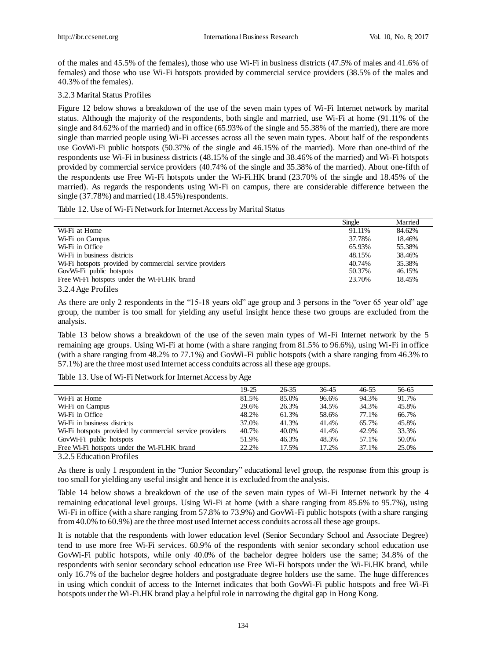of the males and 45.5% of the females), those who use Wi-Fi in business districts (47.5% of males and 41.6% of females) and those who use Wi-Fi hotspots provided by commercial service providers (38.5% of the males and 40.3% of the females).

## 3.2.3 Marital Status Profiles

Figure 12 below shows a breakdown of the use of the seven main types of Wi-Fi Internet network by marital status. Although the majority of the respondents, both single and married, use Wi-Fi at home (91.11% of the single and 84.62% of the married) and in office (65.93% of the single and 55.38% of the married), there are more single than married people using Wi-Fi accesses across all the seven main types. About half of the respondents use GovWi-Fi public hotspots (50.37% of the single and 46.15% of the married). More than one-third of the respondents use Wi-Fi in business districts (48.15% of the single and 38.46% of the married) and Wi-Fi hotspots provided by commercial service providers (40.74% of the single and 35.38% of the married). About one-fifth of the respondents use Free Wi-Fi hotspots under the Wi-Fi.HK brand (23.70% of the single and 18.45% of the married). As regards the respondents using Wi-Fi on campus, there are considerable difference between the single (37.78%) and married (18.45%) respondents.

Table 12. Use of Wi-Fi Network for Internet Access by Marital Status

|                                                                                  | Single | Married |
|----------------------------------------------------------------------------------|--------|---------|
| Wi-Fi at Home                                                                    | 91.11% | 84.62%  |
| Wi-Fi on Campus                                                                  | 37.78% | 18.46%  |
| W <sub>1</sub> -F <sub>1</sub> in Office                                         | 65.93% | 55.38%  |
| W <sub>i</sub> -F <sub>i</sub> in business districts                             | 48.15% | 38.46%  |
| W <sub>i</sub> -F <sub>i</sub> hotspots provided by commercial service providers | 40.74% | 35.38%  |
| GovWi-Fi public hotspots                                                         | 50.37% | 46.15%  |
| Free Wi-Fi hotspots under the Wi-Fi.HK brand                                     | 23.70% | 18.45%  |

3.2.4 Age Profiles

As there are only 2 respondents in the "15-18 years old" age group and 3 persons in the "over 65 year old" age group, the number is too small for yielding any useful insight hence these two groups are excluded from the analysis.

Table 13 below shows a breakdown of the use of the seven main types of Wi-Fi Internet network by the 5 remaining age groups. Using Wi-Fi at home (with a share ranging from 81.5% to 96.6%), using Wi-Fi in office (with a share ranging from 48.2% to 77.1%) and GovWi-Fi public hotspots (with a share ranging from 46.3% to 57.1%) are the three most used Internet access conduits across all these age groups.

Table 13. Use of Wi-Fi Network for Internet Access by Age

|                                                                                  | $19-25$ | $26 - 35$ | 36-45 | 46-55 | 56-65 |  |
|----------------------------------------------------------------------------------|---------|-----------|-------|-------|-------|--|
| Wi-Fi at Home                                                                    | 81.5%   | 85.0%     | 96.6% | 94.3% | 91.7% |  |
| Wi-Fi on Campus                                                                  | 29.6%   | 26.3%     | 34.5% | 34.3% | 45.8% |  |
| Wi-Fi in Office                                                                  | 48.2%   | 61.3%     | 58.6% | 77.1% | 66.7% |  |
| Wi-Fi in business districts                                                      | 37.0%   | 41.3%     | 41.4% | 65.7% | 45.8% |  |
| W <sub>1</sub> -F <sub>1</sub> hotspots provided by commercial service providers | 40.7%   | 40.0%     | 41.4% | 42.9% | 33.3% |  |
| GovWi-Fi public hotspots                                                         | 51.9%   | 46.3%     | 48.3% | 57.1% | 50.0% |  |
| Free Wi-Fi hotspots under the Wi-Fi.HK brand                                     | 22.2%   | 17.5%     | 17.2% | 37.1% | 25.0% |  |
| $\alpha \alpha = \pi + \cdots \quad \pi \quad \text{and}$                        |         |           |       |       |       |  |

3.2.5 Education Profiles

As there is only 1 respondent in the "Junior Secondary" educational level group, the response from this group is too small for yielding any useful insight and hence it is excluded from the analysis.

Table 14 below shows a breakdown of the use of the seven main types of Wi-Fi Internet network by the 4 remaining educational level groups. Using Wi-Fi at home (with a share ranging from 85.6% to 95.7%), using Wi-Fi in office (with a share ranging from 57.8% to 73.9%) and GovWi-Fi public hotspots (with a share ranging from 40.0% to 60.9%) are the three most used Internet access conduits across all these age groups.

It is notable that the respondents with lower education level (Senior Secondary School and Associate Degree) tend to use more free Wi-Fi services. 60.9% of the respondents with senior secondary school education use GovWi-Fi public hotspots, while only 40.0% of the bachelor degree holders use the same; 34.8% of the respondents with senior secondary school education use Free Wi-Fi hotspots under the Wi-Fi.HK brand, while only 16.7% of the bachelor degree holders and postgraduate degree holders use the same. The huge differences in using which conduit of access to the Internet indicates that both GovWi-Fi public hotspots and free Wi-Fi hotspots under the Wi-Fi.HK brand play a helpful role in narrowing the digital gap in Hong Kong.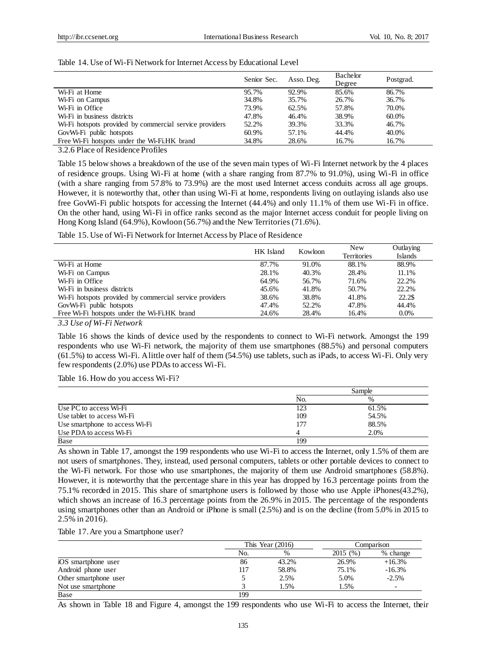|                                                         | Senior Sec. | Asso. Deg. | Bachelor<br>Degree | Postgrad. |
|---------------------------------------------------------|-------------|------------|--------------------|-----------|
| Wi-Fi at Home                                           | 95.7%       | 92.9%      | 85.6%              | 86.7%     |
| Wi-Fi on Campus                                         | 34.8%       | 35.7%      | 26.7%              | 36.7%     |
| Wi-Fi in Office                                         | 73.9%       | 62.5%      | 57.8%              | 70.0%     |
| W <sub>i</sub> -F <sub>i</sub> in business districts    | 47.8%       | 46.4%      | 38.9%              | 60.0%     |
| Wi-Fi hotspots provided by commercial service providers | 52.2%       | 39.3%      | 33.3%              | 46.7%     |
| GovWi-Fi public hotspots                                | 60.9%       | 57.1%      | 44.4%              | 40.0%     |
| Free Wi-Fi hotspots under the Wi-Fi.HK brand            | 34.8%       | 28.6%      | 16.7%              | 16.7%     |

#### Table 14. Use of Wi-Fi Network for Internet Access by Educational Level

3.2.6 Place of Residence Profiles

Table 15 below shows a breakdown of the use of the seven main types of Wi-Fi Internet network by the 4 places of residence groups. Using Wi-Fi at home (with a share ranging from 87.7% to 91.0%), using Wi-Fi in office (with a share ranging from 57.8% to 73.9%) are the most used Internet access conduits across all age groups. However, it is noteworthy that, other than using Wi-Fi at home, respondents living on outlaying islands also use free GovWi-Fi public hotspots for accessing the Internet (44.4%) and only 11.1% of them use Wi-Fi in office. On the other hand, using Wi-Fi in office ranks second as the major Internet access conduit for people living on Hong Kong Island (64.9%), Kowloon (56.7%) and the New Territories (71.6%).

Table 15. Use of Wi-Fi Network for Internet Access by Place of Residence

|                                                                                                                                                                                     | HK Island | Kowloon | New                | Outlaying      |
|-------------------------------------------------------------------------------------------------------------------------------------------------------------------------------------|-----------|---------|--------------------|----------------|
|                                                                                                                                                                                     |           |         | <b>Territories</b> | <b>Islands</b> |
| Wi-Fi at Home                                                                                                                                                                       | 87.7%     | 91.0%   | 88.1%              | 88.9%          |
| Wi-Fi on Campus                                                                                                                                                                     | 28.1%     | 40.3%   | 28.4%              | 11.1%          |
| Wi-Fi in Office                                                                                                                                                                     | 64.9%     | 56.7%   | 71.6%              | 22.2%          |
| W <sub>i</sub> -F <sub>i</sub> in business districts                                                                                                                                | 45.6%     | 41.8%   | 50.7%              | 22.2%          |
| W <sub>i</sub> -F <sub>i</sub> hotspots provided by commercial service providers                                                                                                    | 38.6%     | 38.8%   | 41.8%              | 22.2\$         |
| GovWi-Fi public hotspots                                                                                                                                                            | 47.4%     | 52.2%   | 47.8%              | 44.4%          |
| Free Wi-Fi hotspots under the Wi-Fi.HK brand                                                                                                                                        | 24.6%     | 28.4%   | 16.4%              | $0.0\%$        |
| 2.2.77<br>$\mathcal{C}$ $\mathbf{I}$ $\mathbf{I}$ $\mathbf{I}$ $\mathbf{I}$ $\mathbf{I}$ $\mathbf{I}$ $\mathbf{I}$ $\mathbf{I}$ $\mathbf{I}$ $\mathbf{I}$ $\mathbf{I}$ $\mathbf{I}$ |           |         |                    |                |

*3.3 Use of Wi-Fi Network*

Table 16 shows the kinds of device used by the respondents to connect to Wi-Fi network. Amongst the 199 respondents who use Wi-Fi network, the majority of them use smartphones (88.5%) and personal computers (61.5%) to access Wi-Fi. A little over half of them (54.5%) use tablets, such as iPads, to access Wi-Fi. Only very few respondents (2.0%) use PDAs to access Wi-Fi.

Table 16. How do you access Wi-Fi?

|                                | Sample |       |  |
|--------------------------------|--------|-------|--|
|                                | No.    | $\%$  |  |
| Use PC to access Wi-Fi         | 123    | 61.5% |  |
| Use tablet to access Wi-Fi     | 109    | 54.5% |  |
| Use smartphone to access Wi-Fi | 177    | 88.5% |  |
| Use PDA to access Wi-Fi        |        | 2.0%  |  |
| Base                           | 199    |       |  |

As shown in Table 17, amongst the 199 respondents who use Wi-Fi to access the Internet, only 1.5% of them are not users of smartphones. They, instead, used personal computers, tablets or other portable devices to connect to the Wi-Fi network. For those who use smartphones, the majority of them use Android smartphones (58.8%). However, it is noteworthy that the percentage share in this year has dropped by 16.3 percentage points from the 75.1% recorded in 2015. This share of smartphone users is followed by those who use Apple iPhones(43.2%), which shows an increase of 16.3 percentage points from the 26.9% in 2015. The percentage of the respondents using smartphones other than an Android or iPhone is small (2.5%) and is on the decline (from 5.0% in 2015 to 2.5% in 2016).

Table 17. Are you a Smartphone user?

|                       |     | This Year $(2016)$ |          | Comparison               |
|-----------------------|-----|--------------------|----------|--------------------------|
|                       | No. | %                  | 2015 (%) | % change                 |
| iOS smartphone user   | 86  | 43.2%              | 26.9%    | $+16.3%$                 |
| Android phone user    | 117 | 58.8%              | 75.1%    | $-16.3%$                 |
| Other smartphone user |     | 2.5%               | 5.0%     | $-2.5%$                  |
| Not use smartphone    |     | 1.5%               | 1.5%     | $\overline{\phantom{0}}$ |
| Base                  | 199 |                    |          |                          |

As shown in Table 18 and Figure 4, amongst the 199 respondents who use Wi-Fi to access the Internet, their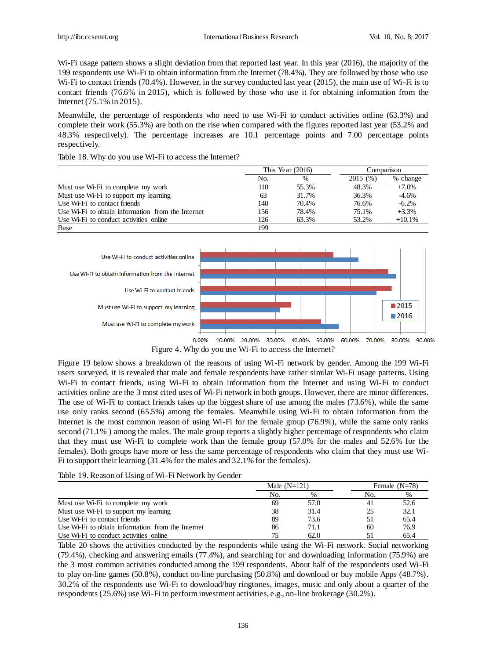Wi-Fi usage pattern shows a slight deviation from that reported last year. In this year (2016), the majority of the 199 respondents use Wi-Fi to obtain information from the Internet (78.4%). They are followed by those who use Wi-Fi to contact friends (70.4%). However, in the survey conducted last year (2015), the main use of Wi-Fi is to contact friends (76.6% in 2015), which is followed by those who use it for obtaining information from the Internet (75.1% in 2015).

Meanwhile, the percentage of respondents who need to use Wi-Fi to conduct activities online (63.3%) and complete their work (55.3%) are both on the rise when compared with the figures reported last year (53.2% and 48.3% respectively). The percentage increases are 10.1 percentage points and 7.00 percentage points respectively.

|                                                                 | This Year $(2016)$ |       |         | Comparison |
|-----------------------------------------------------------------|--------------------|-------|---------|------------|
|                                                                 | No.                | $\%$  | 2015(%) | % change   |
| Must use Wi-Fi to complete my work                              | 110                | 55.3% | 48.3%   | $+7.0\%$   |
| Must use Wi-Fi to support my learning                           | 63                 | 31.7% | 36.3%   | $-4.6%$    |
| Use Wi-Fi to contact friends                                    | 140                | 70.4% | 76.6%   | $-6.2%$    |
| Use Wi-Fi to obtain information from the Internet               | 156                | 78.4% | 75.1%   | $+3.3%$    |
| Use W <sub>i</sub> -F <sub>i</sub> to conduct activities online | 126                | 63.3% | 53.2%   | $+10.1%$   |
| Base                                                            | 199                |       |         |            |

Table 18. Why do you use Wi-Fi to access the Internet?



Figure 4. Why do you use Wi-Fi to access the Internet?

Figure 19 below shows a breakdown of the reasons of using Wi-Fi network by gender. Among the 199 Wi-Fi users surveyed, it is revealed that male and female respondents have rather similar Wi-Fi usage patterns. Using Wi-Fi to contact friends, using Wi-Fi to obtain information from the Internet and using Wi-Fi to conduct activities online are the 3 most cited uses of Wi-Fi network in both groups. However, there are minor differences. The use of Wi-Fi to contact friends takes up the biggest share of use among the males (73.6%), while the same use only ranks second (65.5%) among the females. Meanwhile using Wi-Fi to obtain information from the Internet is the most common reason of using Wi-Fi for the female group (76.9%), while the same only ranks second (71.1% ) among the males. The male group reports a slightly higher percentage of respondents who claim that they must use Wi-Fi to complete work than the female group (57.0% for the males and 52.6% for the females). Both groups have more or less the same percentage of respondents who claim that they must use Wi-Fi to support their learning (31.4% for the males and 32.1% for the females).

#### Table 19. Reason of Using of Wi-Fi Network by Gender

|                                                                 | Male $(N=121)$ |      |     | Female $(N=78)$ |
|-----------------------------------------------------------------|----------------|------|-----|-----------------|
|                                                                 | No.            | $\%$ | No. | $\%$            |
| Must use Wi-Fi to complete my work                              | 69             | 57.0 |     | 52.6            |
| Must use Wi-Fi to support my learning                           | 38             | 31.4 | 25  | 32.1            |
| Use Wi-Fi to contact friends                                    | 89             | 73.6 |     | 65.4            |
| Use Wi-Fi to obtain information from the Internet               | 86             | 71.1 | 60  | 76.9            |
| Use W <sub>i</sub> -F <sub>i</sub> to conduct activities online | 75             | 62.0 |     | 65.4            |

Table 20 shows the activities conducted by the respondents while using the Wi-Fi network. Social networking (79.4%), checking and answering emails (77.4%), and searching for and downloading information (75.9%) are the 3 most common activities conducted among the 199 respondents. About half of the respondents used Wi-Fi to play on-line games (50.8%), conduct on-line purchasing (50.8%) and download or buy mobile Apps (48.7%). 30.2% of the respondents use Wi-Fi to download/buy ringtones, images, music and only about a quarter of the respondents (25.6%) use Wi-Fi to perform investment activities, e.g., on-line brokerage (30.2%).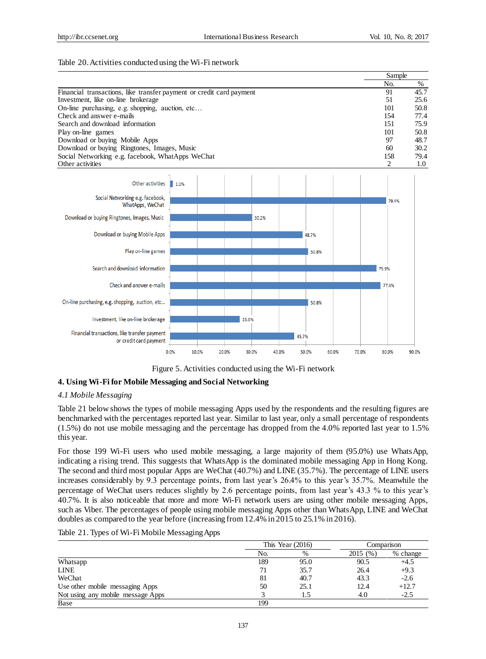#### Table 20. Activities conducted using the Wi-Fi network



Figure 5. Activities conducted using the Wi-Fi network

# **4. Using Wi-Fi for Mobile Messaging and Social Networking**

# *4.1 Mobile Messaging*

Table 21 below shows the types of mobile messaging Apps used by the respondents and the resulting figures are benchmarked with the percentages reported last year. Similar to last year, only a small percentage of respondents (1.5%) do not use mobile messaging and the percentage has dropped from the 4.0% reported last year to 1.5% this year.

For those 199 Wi-Fi users who used mobile messaging, a large majority of them (95.0%) use WhatsApp, indicating a rising trend. This suggests that WhatsApp is the dominated mobile messaging App in Hong Kong. The second and third most popular Apps are WeChat (40.7%) and LINE (35.7%). The percentage of LINE users increases considerably by 9.3 percentage points, from last year's 26.4% to this year's 35.7%. Meanwhile the percentage of WeChat users reduces slightly by 2.6 percentage points, from last year's 43.3 % to this year's 40.7%. It is also noticeable that more and more Wi-Fi network users are using other mobile messaging Apps, such as Viber. The percentages of people using mobile messaging Apps other than WhatsApp, LINE and WeChat doubles as compared to the year before (increasing from 12.4% in 2015 to 25.1% in 2016).

#### Table 21. Types of Wi-Fi Mobile Messaging Apps

|                                   | This Year $(2016)$ |      | Comparison |          |
|-----------------------------------|--------------------|------|------------|----------|
|                                   | No.                | %    | 2015 (%)   | % change |
| Whatsapp                          | 189                | 95.0 | 90.5       | $+4.5$   |
| <b>LINE</b>                       | 71                 | 35.7 | 26.4       | $+9.3$   |
| WeChat                            | 81                 | 40.7 | 43.3       | $-2.6$   |
| Use other mobile messaging Apps   | 50                 | 25.1 | 12.4       | $+12.7$  |
| Not using any mobile message Apps |                    | 1.5  | 4.0        | $-2.5$   |
| Base                              | 199                |      |            |          |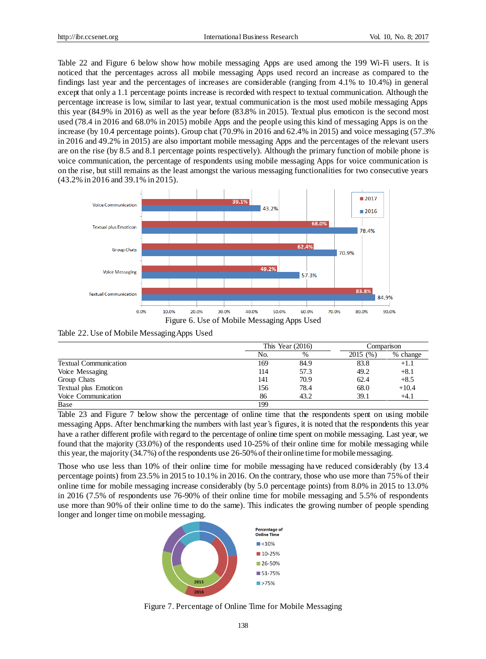Table 22 and Figure 6 below show how mobile messaging Apps are used among the 199 Wi-Fi users. It is noticed that the percentages across all mobile messaging Apps used record an increase as compared to the findings last year and the percentages of increases are considerable (ranging from 4.1% to 10.4%) in general except that only a 1.1 percentage points increase is recorded with respect to textual communication. Although the percentage increase is low, similar to last year, textual communication is the most used mobile messaging Apps this year (84.9% in 2016) as well as the year before (83.8% in 2015). Textual plus emoticon is the second most used (78.4 in 2016 and 68.0% in 2015) mobile Apps and the people using this kind of messaging Apps is on the increase (by 10.4 percentage points). Group chat (70.9% in 2016 and 62.4% in 2015) and voice messaging (57.3% in 2016 and 49.2% in 2015) are also important mobile messaging Apps and the percentages of the relevant users are on the rise (by 8.5 and 8.1 percentage points respectively). Although the primary function of mobile phone is voice communication, the percentage of respondents using mobile messaging Apps for voice communication is on the rise, but still remains as the least amongst the various messaging functionalities for two consecutive years (43.2% in 2016 and 39.1% in 2015).





Table 22. Use of Mobile Messaging Apps Used

|                              | This Year $(2016)$ |      | Comparison |          |
|------------------------------|--------------------|------|------------|----------|
|                              | No.                | $\%$ | 2015 (%)   | % change |
| <b>Textual Communication</b> | 169                | 84.9 | 83.8       | $+1.1$   |
| Voice Messaging              | 114                | 57.3 | 49.2       | $+8.1$   |
| Group Chats                  | 141                | 70.9 | 62.4       | $+8.5$   |
| Textual plus Emoticon        | 156                | 78.4 | 68.0       | $+10.4$  |
| Voice Communication          | 86                 | 43.2 | 39.1       | $+4.1$   |
| Base                         | 199                |      |            |          |

Table 23 and Figure 7 below show the percentage of online time that the respondents spent on using mobile messaging Apps. After benchmarking the numbers with last year's figures, it is noted that the respondents this year have a rather different profile with regard to the percentage of online time spent on mobile messaging. Last year, we found that the majority (33.0%) of the respondents used 10-25% of their online time for mobile messaging while this year, the majority (34.7%) of the respondents use 26-50%of their online time for mobile messaging.

Those who use less than 10% of their online time for mobile messaging have reduced considerably (by 13.4 percentage points) from 23.5% in 2015 to 10.1% in 2016. On the contrary, those who use more than 75% of their online time for mobile messaging increase considerably (by 5.0 percentage points) from 8.0% in 2015 to 13.0% in 2016 (7.5% of respondents use 76-90% of their online time for mobile messaging and 5.5% of respondents use more than 90% of their online time to do the same). This indicates the growing number of people spending longer and longer time on mobile messaging.



Figure 7. Percentage of Online Time for Mobile Messaging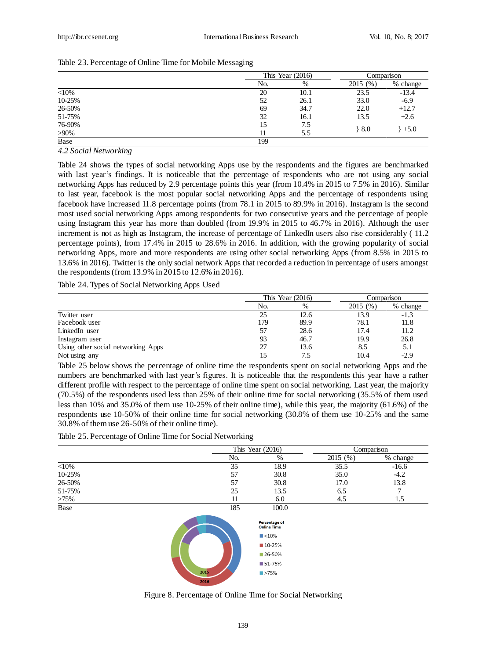|         |     | This Year $(2016)$ |         | Comparison |  |
|---------|-----|--------------------|---------|------------|--|
|         | No. | $\%$               | 2015(%) | % change   |  |
| $<$ 10% | 20  | 10.1               | 23.5    | $-13.4$    |  |
| 10-25%  | 52  | 26.1               | 33.0    | $-6.9$     |  |
| 26-50%  | 69  | 34.7               | 22.0    | $+12.7$    |  |
| 51-75%  | 32  | 16.1               | 13.5    | $+2.6$     |  |
| 76-90%  | 15  | 7.5                |         |            |  |
| $>90\%$ |     | 5.5                | $+8.0$  | $+5.0$     |  |
| Base    | 199 |                    |         |            |  |

### Table 23. Percentage of Online Time for Mobile Messaging

*4.2 Social Networking*

Table 24 shows the types of social networking Apps use by the respondents and the figures are benchmarked with last year's findings. It is noticeable that the percentage of respondents who are not using any social networking Apps has reduced by 2.9 percentage points this year (from 10.4% in 2015 to 7.5% in 2016). Similar to last year, facebook is the most popular social networking Apps and the percentage of respondents using facebook have increased 11.8 percentage points (from 78.1 in 2015 to 89.9% in 2016). Instagram is the second most used social networking Apps among respondents for two consecutive years and the percentage of people using Instagram this year has more than doubled (from 19.9% in 2015 to 46.7% in 2016). Although the user increment is not as high as Instagram, the increase of percentage of LinkedIn users also rise considerably ( 11.2 percentage points), from 17.4% in 2015 to 28.6% in 2016. In addition, with the growing popularity of social networking Apps, more and more respondents are using other social networking Apps (from 8.5% in 2015 to 13.6% in 2016). Twitter is the only social network Apps that recorded a reduction in percentage of users amongst the respondents (from 13.9% in 2015 to 12.6% in 2016).

Table 24. Types of Social Networking Apps Used

|                                    |     | This Year $(2016)$ |          | Comparison |  |
|------------------------------------|-----|--------------------|----------|------------|--|
|                                    | No. | $\%$               | 2015 (%) | % change   |  |
| Twitter user                       | 25  | 12.6               | 13.9     | $-1.3$     |  |
| Facebook user                      | 179 | 89.9               | 78.1     | 11.8       |  |
| LinkedIn user                      | 57  | 28.6               | 17.4     | 11.2       |  |
| Instagram user                     | 93  | 46.7               | 19.9     | 26.8       |  |
| Using other social networking Apps | 27  | 13.6               | 8.5      | 5.1        |  |
| Not using any                      |     | 7.5                | 10.4     | $-2.9$     |  |

Table 25 below shows the percentage of online time the respondents spent on social networking Apps and the numbers are benchmarked with last year's figures. It is noticeable that the respondents this year have a rather different profile with respect to the percentage of online time spent on social networking. Last year, the majority (70.5%) of the respondents used less than 25% of their online time for social networking (35.5% of them used less than 10% and 35.0% of them use 10-25% of their online time), while this year, the majority (61.6%) of the respondents use 10-50% of their online time for social networking (30.8% of them use 10-25% and the same 30.8% of them use 26-50% of their online time).

Table 25. Percentage of Online Time for Social Networking

|         | This Year $(2016)$ |       |         | Comparison |
|---------|--------------------|-------|---------|------------|
|         | No.                | %     | 2015(%) | % change   |
| $<$ 10% | 35                 | 18.9  | 35.5    | $-16.6$    |
| 10-25%  | 57                 | 30.8  | 35.0    | $-4.2$     |
| 26-50%  | 57                 | 30.8  | 17.0    | 13.8       |
| 51-75%  | 25                 | 13.5  | 6.5     |            |
| $>75\%$ |                    | 6.0   | 4.5     | 1.5        |
| Base    | 185                | 100.0 |         |            |



Figure 8. Percentage of Online Time for Social Networking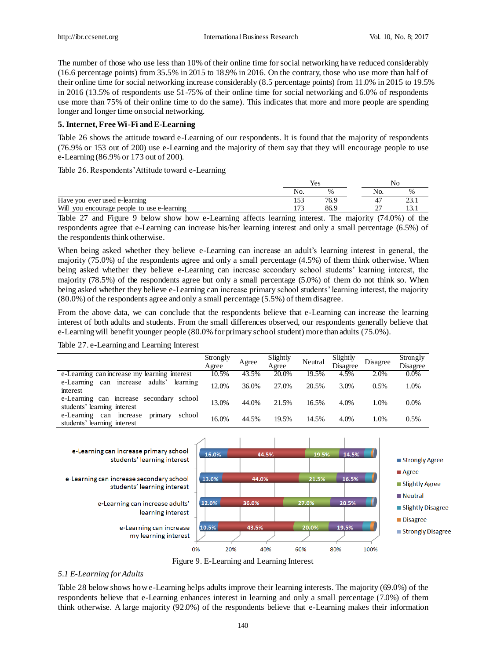The number of those who use less than 10% of their online time for social networking have reduced considerably (16.6 percentage points) from 35.5% in 2015 to 18.9% in 2016. On the contrary, those who use more than half of their online time for social networking increase considerably (8.5 percentage points) from 11.0% in 2015 to 19.5% in 2016 (13.5% of respondents use 51-75% of their online time for social networking and 6.0% of respondents use more than 75% of their online time to do the same). This indicates that more and more people are spending longer and longer time on social networking.

## **5. Internet, Free Wi-Fi and E-Learning**

Table 26 shows the attitude toward e-Learning of our respondents. It is found that the majority of respondents (76.9% or 153 out of 200) use e-Learning and the majority of them say that they will encourage people to use e-Learning (86.9% or 173 out of 200).

Table 26. Respondents' Attitude toward e-Learning

|                                             |        | Yes  |             |          |
|---------------------------------------------|--------|------|-------------|----------|
|                                             | NO.    | $\%$ | No.         |          |
| Have you ever used e-learning               |        | 76.9 |             | <u>.</u> |
| Will you encourage people to use e-learning | $\sim$ | 86.9 | $\sim$<br>- |          |

Table 27 and Figure 9 below show how e-Learning affects learning interest. The majority (74.0%) of the respondents agree that e-Learning can increase his/her learning interest and only a small percentage (6.5%) of the respondents think otherwise.

When being asked whether they believe e-Learning can increase an adult's learning interest in general, the majority (75.0%) of the respondents agree and only a small percentage (4.5%) of them think otherwise. When being asked whether they believe e-Learning can increase secondary school students' learning interest, the majority (78.5%) of the respondents agree but only a small percentage (5.0%) of them do not think so. When being asked whether they believe e-Learning can increase primary school students' learning interest, the majority (80.0%) of the respondents agree and only a small percentage (5.5%) of them disagree.

From the above data, we can conclude that the respondents believe that e-Learning can increase the learning interest of both adults and students. From the small differences observed, our respondents generally believe that e-Learning will benefit younger people (80.0% for primary school student) more than adults (75.0%).

Table 27. e-Learning and Learning Interest

|                                                                                | Strongly |       | Slightly |         | Slightly |          | Strongly |
|--------------------------------------------------------------------------------|----------|-------|----------|---------|----------|----------|----------|
|                                                                                | Agree    | Agree | Agree    | Neutral | Disagree | Disagree | Disagree |
| e-Learning can increase my learning interest                                   | 10.5%    | 43.5% | 20.0%    | 19.5%   | 4.5%     | 2.0%     | $0.0\%$  |
| adults'<br>learning<br>e-Learning can<br>increase<br>interest                  | 12.0%    | 36.0% | 27.0%    | 20.5%   | 3.0%     | 0.5%     | 1.0%     |
| e-Learning can increase secondary<br>school<br>students' learning interest     | 13.0%    | 44.0% | 21.5%    | 16.5%   | 4.0%     | $1.0\%$  | $0.0\%$  |
| school<br>e-Learning can<br>increase<br>primary<br>students' learning interest | 16.0%    | 44.5% | 19.5%    | 14.5%   | 4.0%     | .0%      | 0.5%     |



Figure 9. E-Learning and Learning Interest

## *5.1 E-Learning for Adults*

Table 28 below shows how e-Learning helps adults improve their learning interests. The majority (69.0%) of the respondents believe that e-Learning enhances interest in learning and only a small percentage (7.0%) of them think otherwise. A large majority (92.0%) of the respondents believe that e-Learning makes their information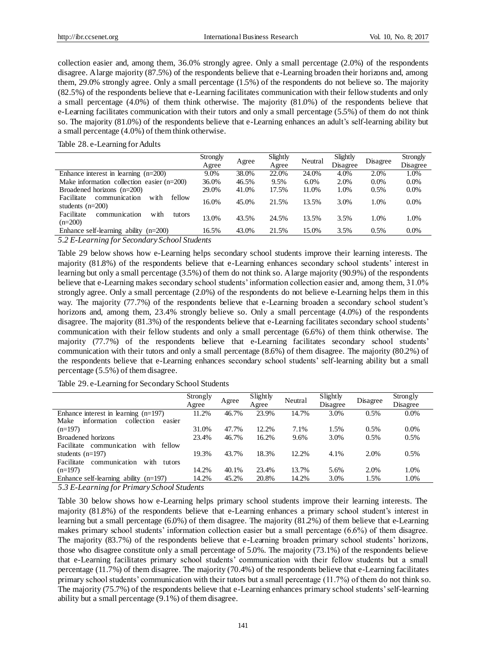collection easier and, among them, 36.0% strongly agree. Only a small percentage (2.0%) of the respondents disagree. A large majority (87.5%) of the respondents believe that e-Learning broaden their horizons and, among them, 29.0% strongly agree. Only a small percentage (1.5%) of the respondents do not believe so. The majority (82.5%) of the respondents believe that e-Learning facilitates communication with their fellow students and only a small percentage (4.0%) of them think otherwise. The majority (81.0%) of the respondents believe that e-Learning facilitates communication with their tutors and only a small percentage (5.5%) of them do not think so. The majority (81.0%) of the respondents believe that e-Learning enhances an adult's self-learning ability but a small percentage (4.0%) of them think otherwise.

Table 28. e-Learning for Adults

|                                                                     | <b>Strongly</b> |       | Slightly | Neutral | Slightly | Disagree | Strongly |
|---------------------------------------------------------------------|-----------------|-------|----------|---------|----------|----------|----------|
|                                                                     | Agree<br>Agree  |       | Agree    |         | Disagree |          | Disagree |
| Enhance interest in learning $(n=200)$                              | 9.0%            | 38.0% | 22.0%    | 24.0%   | 4.0%     | 2.0%     | 1.0%     |
| Make information collection easier $(n=200)$                        | 36.0%           | 46.5% | 9.5%     | 6.0%    | 2.0%     | 0.0%     | $0.0\%$  |
| Broadened horizons $(n=200)$                                        | 29.0%           | 41.0% | 17.5%    | 11.0%   | 1.0%     | 0.5%     | 0.0%     |
| Facilitate<br>fellow<br>with<br>communication<br>students $(n=200)$ | 16.0%           | 45.0% | 21.5%    | 13.5%   | 3.0%     | 1.0%     | 0.0%     |
| with<br>Facilitate<br>communication<br>tutors<br>$(n=200)$          | 13.0%           | 43.5% | 24.5%    | 13.5%   | 3.5%     | 1.0%     | 1.0%     |
| Enhance self-learning ability $(n=200)$                             | 16.5%           | 43.0% | 21.5%    | 15.0%   | 3.5%     | 0.5%     | 0.0%     |
| .                                                                   |                 |       |          |         |          |          |          |

*5.2 E-Learning for Secondary School Students*

Table 29 below shows how e-Learning helps secondary school students improve their learning interests. The majority (81.8%) of the respondents believe that e-Learning enhances secondary school students' interest in learning but only a small percentage (3.5%) of them do not think so. A large majority (90.9%) of the respondents believe that e-Learning makes secondary school students' information collection easier and, among them, 31.0% strongly agree. Only a small percentage (2.0%) of the respondents do not believe e-Learning helps them in this way. The majority (77.7%) of the respondents believe that e-Learning broaden a secondary school student's horizons and, among them, 23.4% strongly believe so. Only a small percentage (4.0%) of the respondents disagree. The majority (81.3%) of the respondents believe that e-Learning facilitates secondary school students' communication with their fellow students and only a small percentage (6.6%) of them think otherwise. The majority (77.7%) of the respondents believe that e-Learning facilitates secondary school students' communication with their tutors and only a small percentage (8.6%) of them disagree. The majority (80.2%) of the respondents believe that e-Learning enhances secondary school students' self-learning ability but a small percentage (5.5%) of them disagree.

Table 29. e-Learning for Secondary School Students

|                                                                                 | Strongly<br>Agree | Agree | Slightly<br>Agree | Neutral | Slightly<br>Disagree | Disagree | Strongly<br>Disagree |
|---------------------------------------------------------------------------------|-------------------|-------|-------------------|---------|----------------------|----------|----------------------|
| Enhance interest in learning $(n=197)$                                          | 11.2%             | 46.7% | 23.9%             | 14.7%   | 3.0%                 | 0.5%     | $0.0\%$              |
| information<br>collection<br>Make<br>easier                                     |                   |       |                   |         |                      |          |                      |
| $(n=197)$                                                                       | 31.0%             | 47.7% | 12.2%             | 7.1%    | 1.5%                 | 0.5%     | $0.0\%$              |
| Broadened horizons                                                              | 23.4%             | 46.7% | 16.2%             | 9.6%    | 3.0%                 | 0.5%     | 0.5%                 |
| Facilitate communication<br>with fellow                                         |                   |       |                   |         |                      |          |                      |
| students $(n=197)$                                                              | 19.3%             | 43.7% | 18.3%             | 12.2%   | 4.1%                 | 2.0%     | 0.5%                 |
| communication<br>Facilitate<br>with<br>tutors                                   |                   |       |                   |         |                      |          |                      |
| $(n=197)$                                                                       | 14.2%             | 40.1% | 23.4%             | 13.7%   | 5.6%                 | 2.0%     | 1.0%                 |
| Enhance self-learning ability<br>$(n=197)$                                      | 14.2%             | 45.2% | 20.8%             | 14.2%   | 3.0%                 | 1.5%     | 1.0%                 |
| $\cdots$ $\cdots$<br>$\sim$ $\sim$<br>$1 \cap 1$<br>$\sim$ $\sim$ $\sim$ $\sim$ |                   |       |                   |         |                      |          |                      |

*5.3 E-Learning for Primary School Students*

Table 30 below shows how e-Learning helps primary school students improve their learning interests. The majority (81.8%) of the respondents believe that e-Learning enhances a primary school student's interest in learning but a small percentage (6.0%) of them disagree. The majority (81.2%) of them believe that e-Learning makes primary school students' information collection easier but a small percentage (6.6%) of them disagree. The majority (83.7%) of the respondents believe that e-Learning broaden primary school students' horizons, those who disagree constitute only a small percentage of 5.0%. The majority (73.1%) of the respondents believe that e-Learning facilitates primary school students' communication with their fellow students but a small percentage (11.7%) of them disagree. The majority (70.4%) of the respondents believe that e-Learning facilitates primary school students' communication with their tutors but a small percentage (11.7%) of them do not think so. The majority (75.7%) of the respondents believe that e-Learning enhances primary school students' self-learning ability but a small percentage (9.1%) of them disagree.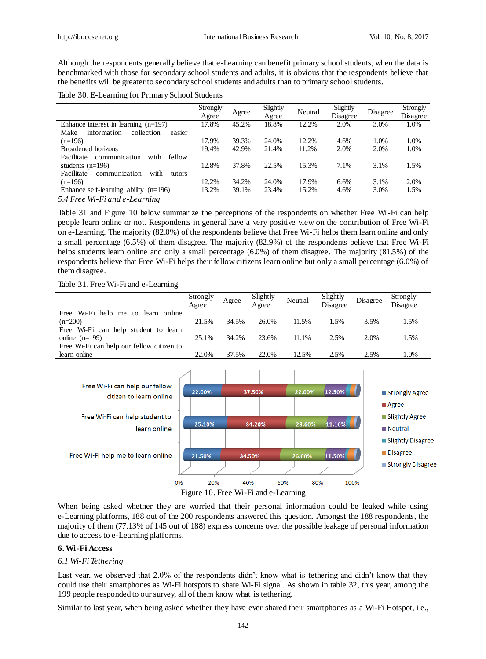Although the respondents generally believe that e-Learning can benefit primary school students, when the data is benchmarked with those for secondary school students and adults, it is obvious that the respondents believe that the benefits will be greater to secondary school students and adults than to primary school students.

Table 30. E-Learning for Primary School Students

|                                               | Strongly |       | Slightly | Neutral | Slightly |          | <b>Strongly</b> |
|-----------------------------------------------|----------|-------|----------|---------|----------|----------|-----------------|
|                                               | Agree    | Agree | Agree    |         | Disagree | Disagree | Disagree        |
| Enhance interest in learning $(n=197)$        | 17.8%    | 45.2% | 18.8%    | 12.2%   | 2.0%     | 3.0%     | 1.0%            |
| Make<br>information<br>collection<br>easier   |          |       |          |         |          |          |                 |
| $(n=196)$                                     | 17.9%    | 39.3% | 24.0%    | 12.2%   | 4.6%     | 1.0%     | 1.0%            |
| Broadened horizons                            | 19.4%    | 42.9% | 21.4%    | 11.2%   | 2.0%     | 2.0%     | 1.0%            |
| communication<br>Facilitate<br>with<br>fellow |          |       |          |         |          |          |                 |
| students $(n=196)$                            | 12.8%    | 37.8% | 22.5%    | 15.3%   | 7.1%     | 3.1%     | 1.5%            |
| Facilitate<br>communication<br>with<br>tutors |          |       |          |         |          |          |                 |
| $(n=196)$                                     | 12.2%    | 34.2% | 24.0%    | 17.9%   | 6.6%     | 3.1%     | 2.0%            |
| Enhance self-learning ability $(n=196)$       | 13.2%    | 39.1% | 23.4%    | 15.2%   | 4.6%     | 3.0%     | 1.5%            |
| 5.4 Free Wi Fi and a Learning                 |          |       |          |         |          |          |                 |

*5.4 Free Wi-Fi and e-Learning* 

Table 31 and Figure 10 below summarize the perceptions of the respondents on whether Free Wi-Fi can help people learn online or not. Respondents in general have a very positive view on the contribution of Free Wi-Fi on e-Learning. The majority (82.0%) of the respondents believe that Free Wi-Fi helps them learn online and only a small percentage (6.5%) of them disagree. The majority (82.9%) of the respondents believe that Free Wi-Fi helps students learn online and only a small percentage (6.0%) of them disagree. The majority (81.5%) of the respondents believe that Free Wi-Fi helps their fellow citizens learn online but only a small percentage (6.0%) of them disagree.

Table 31. Free Wi-Fi and e-Learning

|                                           | Strongly<br>Agree | Agree | Slightly<br>Agree | Neutral | Slightly<br>Disagree | Disagree | Strongly<br>Disagree |
|-------------------------------------------|-------------------|-------|-------------------|---------|----------------------|----------|----------------------|
| Free Wi-Fi help me to learn online        |                   |       |                   |         |                      |          |                      |
| $(n=200)$                                 | 21.5%             | 34.5% | 26.0%             | 11.5%   | 1.5%                 | 3.5%     | 1.5%                 |
| Free Wi-Fi can help student to learn      |                   |       |                   |         |                      |          |                      |
| online $(n=199)$                          | 25.1%             | 34.2% | 23.6%             | 11.1%   | 2.5%                 | 2.0%     | 1.5%                 |
| Free Wi-Fi can help our fellow citizen to |                   |       |                   |         |                      |          |                      |
| learn online                              | 22.0%             | 37.5% | 22.0%             | 12.5%   | 2.5%                 | 2.5%     | 1.0%                 |



Figure 10. Free Wi-Fi and e-Learning

When being asked whether they are worried that their personal information could be leaked while using e-Learning platforms, 188 out of the 200 respondents answered this question. Amongst the 188 respondents, the majority of them (77.13% of 145 out of 188) express concerns over the possible leakage of personal information due to access to e-Learning platforms.

## **6. Wi-Fi Access**

### *6.1 Wi-Fi Tethering*

Last year, we observed that 2.0% of the respondents didn't know what is tethering and didn't know that they could use their smartphones as Wi-Fi hotspots to share Wi-Fi signal. As shown in table 32, this year, among the 199 people responded to our survey, all of them know what is tethering.

Similar to last year, when being asked whether they have ever shared their smartphones as a Wi-Fi Hotspot, i.e.,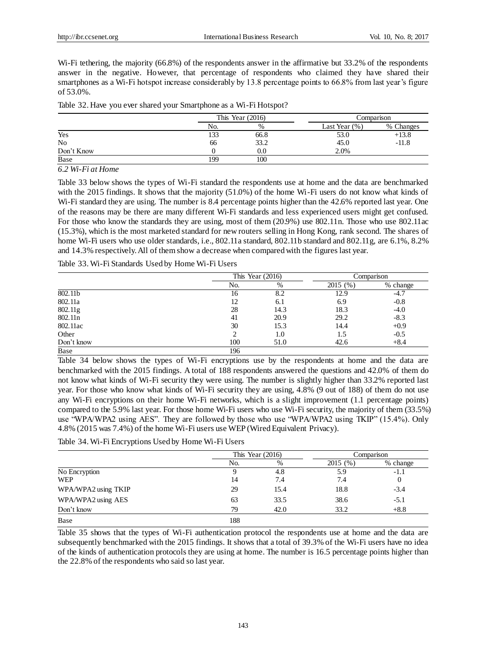Wi-Fi tethering, the majority (66.8%) of the respondents answer in the affirmative but 33.2% of the respondents answer in the negative. However, that percentage of respondents who claimed they have shared their smartphones as a Wi-Fi hotspot increase considerably by 13.8 percentage points to 66.8% from last year's figure of 53.0%.

|  |  |  |  | Table 32. Have you ever shared your Smartphone as a Wi-Fi Hotspot? |
|--|--|--|--|--------------------------------------------------------------------|
|--|--|--|--|--------------------------------------------------------------------|

|                |        | This Year $(2016)$ |                  | Comparison |
|----------------|--------|--------------------|------------------|------------|
|                | No.    | $\%$               | Last Year $(\%)$ | % Changes  |
| Yes            | $\sim$ | 66.8               | 53.0             | $+13.8$    |
| N <sub>o</sub> | 66     | 33.2               | 45.0             | $-11.8$    |
| Don't Know     |        | 0.0                | 2.0%             |            |
| Base           | 199    | 100                |                  |            |

*6.2 Wi-Fi at Home* 

Table 33 below shows the types of Wi-Fi standard the respondents use at home and the data are benchmarked with the 2015 findings. It shows that the majority (51.0%) of the home Wi-Fi users do not know what kinds of Wi-Fi standard they are using. The number is 8.4 percentage points higher than the 42.6% reported last year. One of the reasons may be there are many different Wi-Fi standards and less experienced users might get confused. For those who know the standards they are using, most of them (20.9%) use 802.11n. Those who use 802.11ac (15.3%), which is the most marketed standard for new routers selling in Hong Kong, rank second. The shares of home Wi-Fi users who use older standards, i.e., 802.11a standard, 802.11b standard and 802.11g, are 6.1%, 8.2% and 14.3% respectively.All of them show a decrease when compared with the figures last year.

Table 33. Wi-Fi Standards Used by Home Wi-Fi Users

|            |     | This Year $(2016)$ |         | Comparison |
|------------|-----|--------------------|---------|------------|
|            | No. | %                  | 2015(%) | % change   |
| 802.11b    | 16  | 8.2                | 12.9    | -4.7       |
| 802.11a    | 12  | 6.1                | 6.9     | $-0.8$     |
| 802.11g    | 28  | 14.3               | 18.3    | $-4.0$     |
| 802.11n    | 41  | 20.9               | 29.2    | $-8.3$     |
| 802.11ac   | 30  | 15.3               | 14.4    | $+0.9$     |
| Other      | ◠   | 1.0                | 1.5     | $-0.5$     |
| Don't know | 100 | 51.0               | 42.6    | $+8.4$     |
| Base       | 196 |                    |         |            |

Table 34 below shows the types of Wi-Fi encryptions use by the respondents at home and the data are benchmarked with the 2015 findings. A total of 188 respondents answered the questions and 42.0% of them do not know what kinds of Wi-Fi security they were using. The number is slightly higher than 33.2% reported last year. For those who know what kinds of Wi-Fi security they are using, 4.8% (9 out of 188) of them do not use any Wi-Fi encryptions on their home Wi-Fi networks, which is a slight improvement (1.1 percentage points) compared to the 5.9% last year. For those home Wi-Fi users who use Wi-Fi security, the majority of them (33.5%) use "WPA/WPA2 using AES". They are followed by those who use "WPA/WPA2 using TKIP" (15.4%). Only 4.8% (2015 was 7.4%) of the home Wi-Fi users use WEP (Wired Equivalent Privacy).

Table 34. Wi-Fi Encryptions Used by Home Wi-Fi Users

|                     | This Year $(2016)$ |      | Comparison |          |
|---------------------|--------------------|------|------------|----------|
|                     | No.                | %    | 2015(%)    | % change |
| No Encryption       |                    | 4.8  | 5.9        | $-1.1$   |
| <b>WEP</b>          | 14                 | 7.4  | 7.4        | 0        |
| WPA/WPA2 using TKIP | 29                 | 15.4 | 18.8       | $-3.4$   |
| WPA/WPA2 using AES  | 63                 | 33.5 | 38.6       | $-5.1$   |
| Don't know          | 79                 | 42.0 | 33.2       | $+8.8$   |
| Base                | 188                |      |            |          |

Table 35 shows that the types of Wi-Fi authentication protocol the respondents use at home and the data are subsequently benchmarked with the 2015 findings. It shows that a total of 39.3% of the Wi-Fi users have no idea of the kinds of authentication protocols they are using at home. The number is 16.5 percentage points higher than the 22.8% of the respondents who said so last year.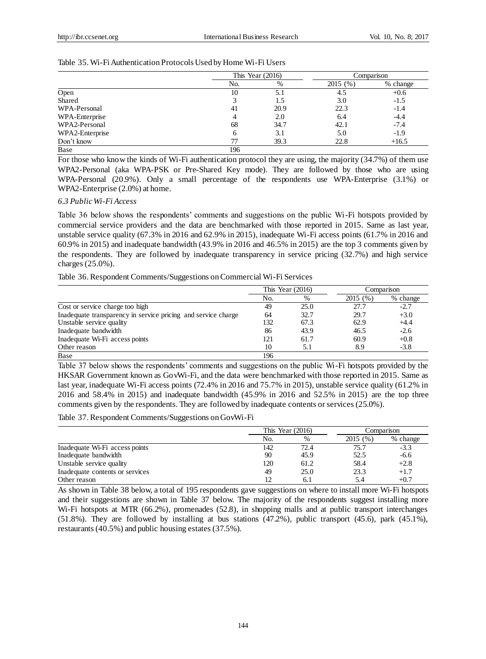|                 | This Year $(2016)$ |      | Comparison |          |
|-----------------|--------------------|------|------------|----------|
|                 | No.                | %    | 2015(%)    | % change |
| Open            | 10                 | 5.1  | 4.5        | $+0.6$   |
| Shared          |                    | 1.5  | 3.0        | $-1.5$   |
| WPA-Personal    | 41                 | 20.9 | 22.3       | $-1.4$   |
| WPA-Enterprise  |                    | 2.0  | 6.4        | $-4.4$   |
| WPA2-Personal   | 68                 | 34.7 | 42.1       | $-7.4$   |
| WPA2-Enterprise | 6                  | 3.1  | 5.0        | $-1.9$   |
| Don't know      |                    | 39.3 | 22.8       | $+16.5$  |
| Base            | 196                |      |            |          |

For those who know the kinds of Wi-Fi authentication protocol they are using, the majority (34.7%) of them use WPA2-Personal (aka WPA-PSK or Pre-Shared Key mode). They are followed by those who are using WPA-Personal (20.9%). Only a small percentage of the respondents use WPA-Enterprise (3.1%) or WPA2-Enterprise (2.0%) at home.

#### *6.3 Public Wi-Fi Access*

Table 36 below shows the respondents' comments and suggestions on the public Wi-Fi hotspots provided by commercial service providers and the data are benchmarked with those reported in 2015. Same as last year, unstable service quality (67.3% in 2016 and 62.9% in 2015), inadequate Wi-Fi access points (61.7% in 2016 and 60.9% in 2015) and inadequate bandwidth (43.9% in 2016 and 46.5% in 2015) are the top 3 comments given by the respondents. They are followed by inadequate transparency in service pricing (32.7%) and high service charges (25.0%).

Table 36. Respondent Comments/Suggestions on Commercial Wi-Fi Services

|                                                               | This Year $(2016)$ |      | Comparison |          |
|---------------------------------------------------------------|--------------------|------|------------|----------|
|                                                               | No.                | %    | 2015 (%)   | % change |
| Cost or service charge too high                               | 49                 | 25.0 | 27.7       | $-2.7$   |
| Inadequate transparency in service pricing and service charge | 64                 | 32.7 | 29.7       | $+3.0$   |
| Unstable service quality                                      | 132                | 67.3 | 62.9       | $+4.4$   |
| Inadequate bandwidth                                          | 86                 | 43.9 | 46.5       | $-2.6$   |
| Inadequate Wi-Fi access points                                | 121                | 61.7 | 60.9       | $+0.8$   |
| Other reason                                                  | 10                 | 5.1  | 8.9        | $-3.8$   |
| Base                                                          | 196                |      |            |          |

Table 37 below shows the respondents' comments and suggestions on the public Wi-Fi hotspots provided by the HKSAR Government known as GovWi-Fi, and the data were benchmarked with those reported in 2015. Same as last year, inadequate Wi-Fi access points (72.4% in 2016 and 75.7% in 2015), unstable service quality (61.2% in 2016 and 58.4% in 2015) and inadequate bandwidth (45.9% in 2016 and 52.5% in 2015) are the top three comments given by the respondents. They are followed by inadequate contents or services (25.0%).

Table 37. Respondent Comments/Suggestions on GovWi-Fi

|                                 |     | This Year $(2016)$ |         | Comparison |  |
|---------------------------------|-----|--------------------|---------|------------|--|
|                                 | No. | $\%$               | 2015(%) | % change   |  |
| Inadequate Wi-Fi access points  | 142 | 72.4               | 75.7    | $-3.3$     |  |
| Inadequate bandwidth            | 90  | 45.9               | 52.5    | $-6.6$     |  |
| Unstable service quality        | 120 | 61.2               | 58.4    | $+2.8$     |  |
| Inadequate contents or services | 49  | 25.0               | 23.3    | $+1.7$     |  |
| Other reason                    |     | 6.1                |         | $+0.7$     |  |

As shown in Table 38 below, a total of 195 respondents gave suggestions on where to install more Wi-Fi hotspots and their suggestions are shown in Table 37 below. The majority of the respondents suggest installing more Wi-Fi hotspots at MTR (66.2%), promenades (52.8), in shopping malls and at public transport interchanges (51.8%). They are followed by installing at bus stations (47.2%), public transport (45.6), park (45.1%), restaurants (40.5%) and public housing estates (37.5%).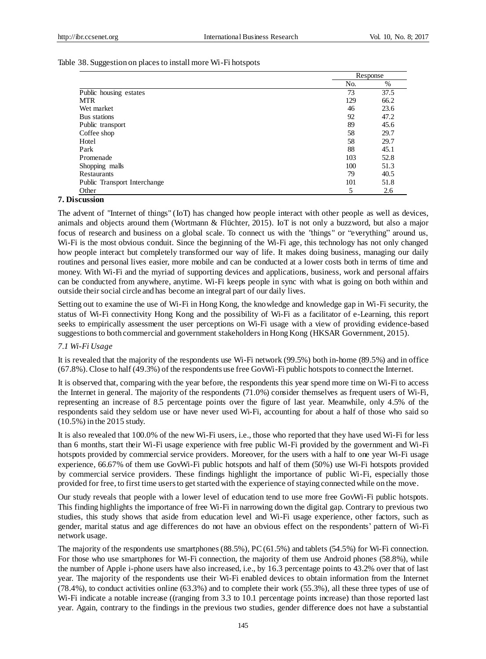## Table 38. Suggestion on places to install more Wi-Fi hotspots

|                              |     | Response |  |
|------------------------------|-----|----------|--|
|                              | No. | %        |  |
| Public housing estates       | 73  | 37.5     |  |
| <b>MTR</b>                   | 129 | 66.2     |  |
| Wet market                   | 46  | 23.6     |  |
| Bus stations                 | 92  | 47.2     |  |
| Public transport             | 89  | 45.6     |  |
| Coffee shop                  | 58  | 29.7     |  |
| Hotel                        | 58  | 29.7     |  |
| Park                         | 88  | 45.1     |  |
| Promenade                    | 103 | 52.8     |  |
| Shopping malls               | 100 | 51.3     |  |
| Restaurants                  | 79  | 40.5     |  |
| Public Transport Interchange | 101 | 51.8     |  |
| Other                        | 5   | 2.6      |  |

## **7. Discussion**

The advent of "Internet of things" (IoT) has changed how people interact with other people as well as devices, animals and objects around them (Wortmann & Flüchter, 2015). IoT is not only a buzzword, but also a major focus of research and business on a global scale. To connect us with the "things" or "everything" around us, Wi-Fi is the most obvious conduit. Since the beginning of the Wi-Fi age, this technology has not only changed how people interact but completely transformed our way of life. It makes doing business, managing our daily routines and personal lives easier, more mobile and can be conducted at a lower costs both in terms of time and money. With Wi-Fi and the myriad of supporting devices and applications, business, work and personal affairs can be conducted from anywhere, anytime. Wi-Fi keeps people in sync with what is going on both within and outside their social circle and has become an integral part of our daily lives.

Setting out to examine the use of Wi-Fi in Hong Kong, the knowledge and knowledge gap in Wi-Fi security, the status of Wi-Fi connectivity Hong Kong and the possibility of Wi-Fi as a facilitator of e-Learning, this report seeks to empirically assessment the user perceptions on Wi-Fi usage with a view of providing evidence-based suggestions to both commercial and government stakeholders in Hong Kong (HKSAR Government, 2015).

## *7.1 Wi-Fi Usage*

It is revealed that the majority of the respondents use Wi-Fi network (99.5%) both in-home (89.5%) and in office (67.8%). Close to half (49.3%) of the respondents use free GovWi-Fi public hotspots to connect the Internet.

It is observed that, comparing with the year before, the respondents this year spend more time on Wi-Fi to access the Internet in general. The majority of the respondents (71.0%) consider themselves as frequent users of Wi-Fi, representing an increase of 8.5 percentage points over the figure of last year. Meanwhile, only 4.5% of the respondents said they seldom use or have never used Wi-Fi, accounting for about a half of those who said so (10.5%) in the 2015 study.

It is also revealed that 100.0% of the new Wi-Fi users, i.e., those who reported that they have used Wi-Fi for less than 6 months, start their Wi-Fi usage experience with free public Wi-Fi provided by the government and Wi-Fi hotspots provided by commercial service providers. Moreover, for the users with a half to one year Wi-Fi usage experience, 66.67% of them use GovWi-Fi public hotspots and half of them (50%) use Wi-Fi hotspots provided by commercial service providers. These findings highlight the importance of public Wi-Fi, especially those provided for free, to first time users to get started with the experience of staying connected while on the move.

Our study reveals that people with a lower level of education tend to use more free GovWi-Fi public hotspots. This finding highlights the importance of free Wi-Fi in narrowing down the digital gap. Contrary to previous two studies, this study shows that aside from education level and Wi-Fi usage experience, other factors, such as gender, marital status and age differences do not have an obvious effect on the respondents' pattern of Wi-Fi network usage.

The majority of the respondents use smartphones (88.5%), PC (61.5%) and tablets (54.5%) for Wi-Fi connection. For those who use smartphones for Wi-Fi connection, the majority of them use Android phones (58.8%), while the number of Apple i-phone users have also increased, i.e., by 16.3 percentage points to 43.2% over that of last year. The majority of the respondents use their Wi-Fi enabled devices to obtain information from the Internet (78.4%), to conduct activities online (63.3%) and to complete their work (55.3%), all these three types of use of Wi-Fi indicate a notable increase ((ranging from 3.3 to 10.1 percentage points increase) than those reported last year. Again, contrary to the findings in the previous two studies, gender difference does not have a substantial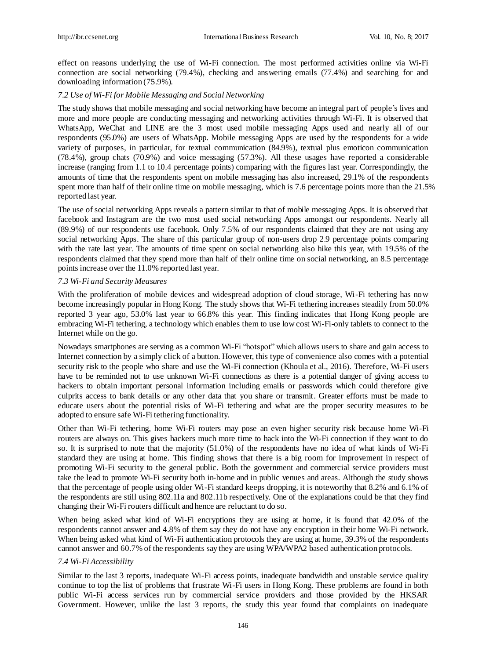effect on reasons underlying the use of Wi-Fi connection. The most performed activities online via Wi-Fi connection are social networking (79.4%), checking and answering emails (77.4%) and searching for and downloading information (75.9%).

## *7.2 Use of Wi-Fi for Mobile Messaging and Social Networking*

The study shows that mobile messaging and social networking have become an integral part of people's lives and more and more people are conducting messaging and networking activities through Wi-Fi. It is observed that WhatsApp, WeChat and LINE are the 3 most used mobile messaging Apps used and nearly all of our respondents (95.0%) are users of WhatsApp. Mobile messaging Apps are used by the respondents for a wide variety of purposes, in particular, for textual communication (84.9%), textual plus emoticon communication (78.4%), group chats (70.9%) and voice messaging (57.3%). All these usages have reported a considerable increase (ranging from 1.1 to 10.4 percentage points) comparing with the figures last year. Correspondingly, the amounts of time that the respondents spent on mobile messaging has also increased, 29.1% of the respondents spent more than half of their online time on mobile messaging, which is 7.6 percentage points more than the 21.5% reported last year.

The use of social networking Apps reveals a pattern similar to that of mobile messaging Apps. It is observed that facebook and Instagram are the two most used social networking Apps amongst our respondents. Nearly all (89.9%) of our respondents use facebook. Only 7.5% of our respondents claimed that they are not using any social networking Apps. The share of this particular group of non-users drop 2.9 percentage points comparing with the rate last year. The amounts of time spent on social networking also hike this year, with 19.5% of the respondents claimed that they spend more than half of their online time on social networking, an 8.5 percentage points increase over the 11.0% reported last year.

## *7.3 Wi-Fi and Security Measures*

With the proliferation of mobile devices and widespread adoption of cloud storage, Wi-Fi tethering has now become increasingly popular in Hong Kong. The study shows that Wi-Fi tethering increases steadily from 50.0% reported 3 year ago, 53.0% last year to 66.8% this year. This finding indicates that Hong Kong people are embracing Wi-Fi tethering, a technology which enables them to use low cost Wi-Fi-only tablets to connect to the Internet while on the go.

Nowadays smartphones are serving as a common Wi-Fi "hotspot" which allows users to share and gain access to Internet connection by a simply click of a button. However, this type of convenience also comes with a potential security risk to the people who share and use the Wi-Fi connection (Khoula et al., 2016). Therefore, Wi-Fi users have to be reminded not to use unknown Wi-Fi connections as there is a potential danger of giving access to hackers to obtain important personal information including emails or passwords which could therefore give culprits access to bank details or any other data that you share or transmit. Greater efforts must be made to educate users about the potential risks of Wi-Fi tethering and what are the proper security measures to be adopted to ensure safe Wi-Fi tethering functionality.

Other than Wi-Fi tethering, home Wi-Fi routers may pose an even higher security risk because home Wi-Fi routers are always on. This gives hackers much more time to hack into the Wi-Fi connection if they want to do so. It is surprised to note that the majority (51.0%) of the respondents have no idea of what kinds of Wi-Fi standard they are using at home. This finding shows that there is a big room for improvement in respect of promoting Wi-Fi security to the general public. Both the government and commercial service providers must take the lead to promote Wi-Fi security both in-home and in public venues and areas. Although the study shows that the percentage of people using older Wi-Fi standard keeps dropping, it is noteworthy that 8.2% and 6.1% of the respondents are still using 802.11a and 802.11b respectively. One of the explanations could be that they find changing their Wi-Fi routers difficult and hence are reluctant to do so.

When being asked what kind of Wi-Fi encryptions they are using at home, it is found that 42.0% of the respondents cannot answer and 4.8% of them say they do not have any encryption in their home Wi-Fi network. When being asked what kind of Wi-Fi authentication protocols they are using at home, 39.3% of the respondents cannot answer and 60.7% of the respondents say they are using WPA/WPA2 based authentication protocols.

## *7.4 Wi-Fi Accessibility*

Similar to the last 3 reports, inadequate Wi-Fi access points, inadequate bandwidth and unstable service quality continue to top the list of problems that frustrate Wi-Fi users in Hong Kong. These problems are found in both public Wi-Fi access services run by commercial service providers and those provided by the HKSAR Government. However, unlike the last 3 reports, the study this year found that complaints on inadequate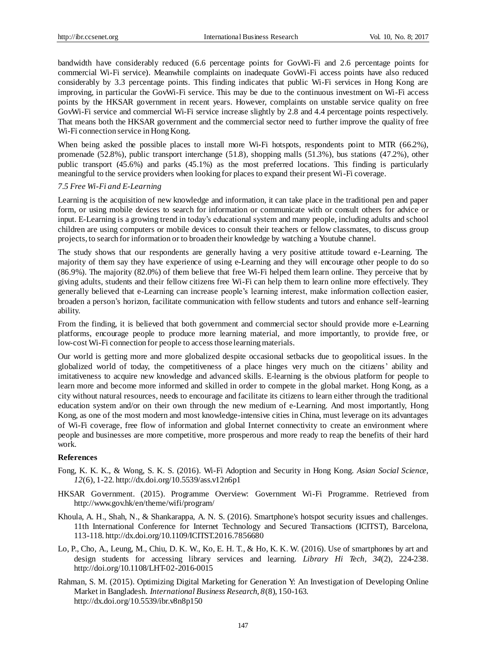bandwidth have considerably reduced (6.6 percentage points for GovWi-Fi and 2.6 percentage points for commercial Wi-Fi service). Meanwhile complaints on inadequate GovWi-Fi access points have also reduced considerably by 3.3 percentage points. This finding indicates that public Wi-Fi services in Hong Kong are improving, in particular the GovWi-Fi service. This may be due to the continuous investment on Wi-Fi access points by the HKSAR government in recent years. However, complaints on unstable service quality on free GovWi-Fi service and commercial Wi-Fi service increase slightly by 2.8 and 4.4 percentage points respectively. That means both the HKSAR government and the commercial sector need to further improve the quality of free Wi-Fi connection service in Hong Kong.

When being asked the possible places to install more Wi-Fi hotspots, respondents point to MTR (66.2%), promenade (52.8%), public transport interchange (51.8), shopping malls (51.3%), bus stations (47.2%), other public transport (45.6%) and parks (45.1%) as the most preferred locations. This finding is particularly meaningful to the service providers when looking for places to expand their present Wi-Fi coverage.

### *7.5 Free Wi-Fi and E-Learning*

Learning is the acquisition of new knowledge and information, it can take place in the traditional pen and paper form, or using mobile devices to search for information or communicate with or consult others for advice or input. E-Learning is a growing trend in today's educational system and many people, including adults and school children are using computers or mobile devices to consult their teachers or fellow classmates, to discuss group projects, to search for information or to broaden their knowledge by watching a Youtube channel.

The study shows that our respondents are generally having a very positive attitude toward e-Learning. The majority of them say they have experience of using e-Learning and they will encourage other people to do so (86.9%). The majority (82.0%) of them believe that free Wi-Fi helped them learn online. They perceive that by giving adults, students and their fellow citizens free Wi-Fi can help them to learn online more effectively. They generally believed that e-Learning can increase people's learning interest, make information collection easier, broaden a person's horizon, facilitate communication with fellow students and tutors and enhance self-learning ability.

From the finding, it is believed that both government and commercial sector should provide more e-Learning platforms, encourage people to produce more learning material, and more importantly, to provide free, or low-cost Wi-Fi connection for people to access those learning materials.

Our world is getting more and more globalized despite occasional setbacks due to geopolitical issues. In the globalized world of today, the competitiveness of a place hinges very much on the citizens' ability and imitativeness to acquire new knowledge and advanced skills. E-learning is the obvious platform for people to learn more and become more informed and skilled in order to compete in the global market. Hong Kong, as a city without natural resources, needs to encourage and facilitate its citizens to learn either through the traditional education system and/or on their own through the new medium of e-Learning. And most importantly, Hong Kong, as one of the most modern and most knowledge-intensive cities in China, must leverage on its advantages of Wi-Fi coverage, free flow of information and global Internet connectivity to create an environment where people and businesses are more competitive, more prosperous and more ready to reap the benefits of their hard work.

#### **References**

- Fong, K. K. K., & Wong, S. K. S. (2016). Wi-Fi Adoption and Security in Hong Kong. *Asian Social Science, 12*(6), 1-22[. http://dx.doi.org/10.5539/ass.v12n6p1](http://dx.doi.org/10.5539/ass.v12n6p1)
- HKSAR Government. (2015). Programme Overview: Government Wi-Fi Programme. Retrieved from http://www.gov.hk/en/theme/wifi/program/
- Khoula, A. H., Shah, N., & Shankarappa, A. N. S. (2016). Smartphone's hotspot security issues and challenges. 11th International Conference for Internet Technology and Secured Transactions (ICITST), Barcelona, 113-118[. http://dx.doi.org/10.1109/ICITST.2016.7856680](http://dx.doi.org/10.1109/ICITST.2016.7856680)
- Lo, P., Cho, A., Leung, M., Chiu, D. K. W., Ko, E. H. T., & Ho, K. K. W. (2016). Use of smartphones by art and design students for accessing library services and learning. *Library Hi Tech, 34*(2), 224-238. <http://doi.org/10.1108/LHT-02-2016-0015>
- Rahman, S. M. (2015). Optimizing Digital Marketing for Generation Y: An Investigation of Developing Online Market in Bangladesh. *International Business Research, 8*(8), 150-163. <http://dx.doi.org/10.5539/ibr.v8n8p150>